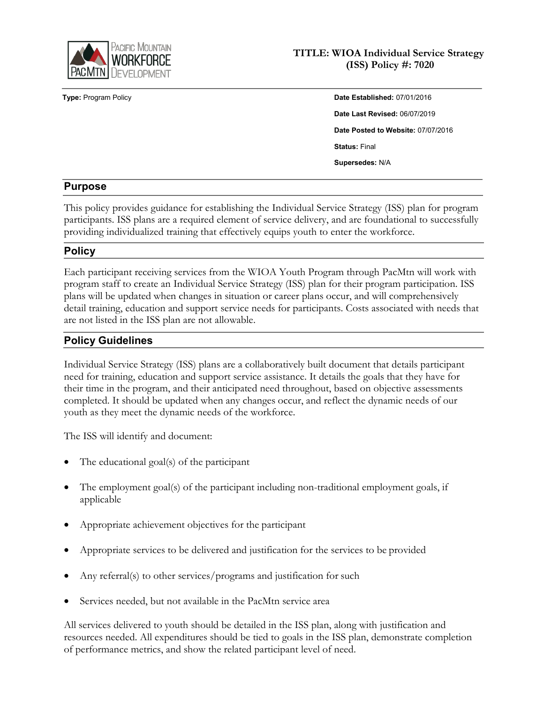

## **TITLE: WIOA Individual Service Strategy (ISS) Policy #: 7020**

**Type:** Program Policy **Date Established:** 07/01/2016 **Date Last Revised:** 06/07/2019 **Date Posted to Website:** 07/07/2016 **Status:** Final **Supersedes:** N/A

## **Purpose**

This policy provides guidance for establishing the Individual Service Strategy (ISS) plan for program participants. ISS plans are a required element of service delivery, and are foundational to successfully providing individualized training that effectively equips youth to enter the workforce.

## **Policy**

Each participant receiving services from the WIOA Youth Program through PacMtn will work with program staff to create an Individual Service Strategy (ISS) plan for their program participation. ISS plans will be updated when changes in situation or career plans occur, and will comprehensively detail training, education and support service needs for participants. Costs associated with needs that are not listed in the ISS plan are not allowable.

# **Policy Guidelines**

Individual Service Strategy (ISS) plans are a collaboratively built document that details participant need for training, education and support service assistance. It details the goals that they have for their time in the program, and their anticipated need throughout, based on objective assessments completed. It should be updated when any changes occur, and reflect the dynamic needs of our youth as they meet the dynamic needs of the workforce.

The ISS will identify and document:

- The educational goal(s) of the participant
- The employment goal(s) of the participant including non-traditional employment goals, if applicable
- Appropriate achievement objectives for the participant
- Appropriate services to be delivered and justification for the services to be provided
- Any referral(s) to other services/programs and justification for such
- Services needed, but not available in the PacMtn service area

All services delivered to youth should be detailed in the ISS plan, along with justification and resources needed. All expenditures should be tied to goals in the ISS plan, demonstrate completion of performance metrics, and show the related participant level of need.